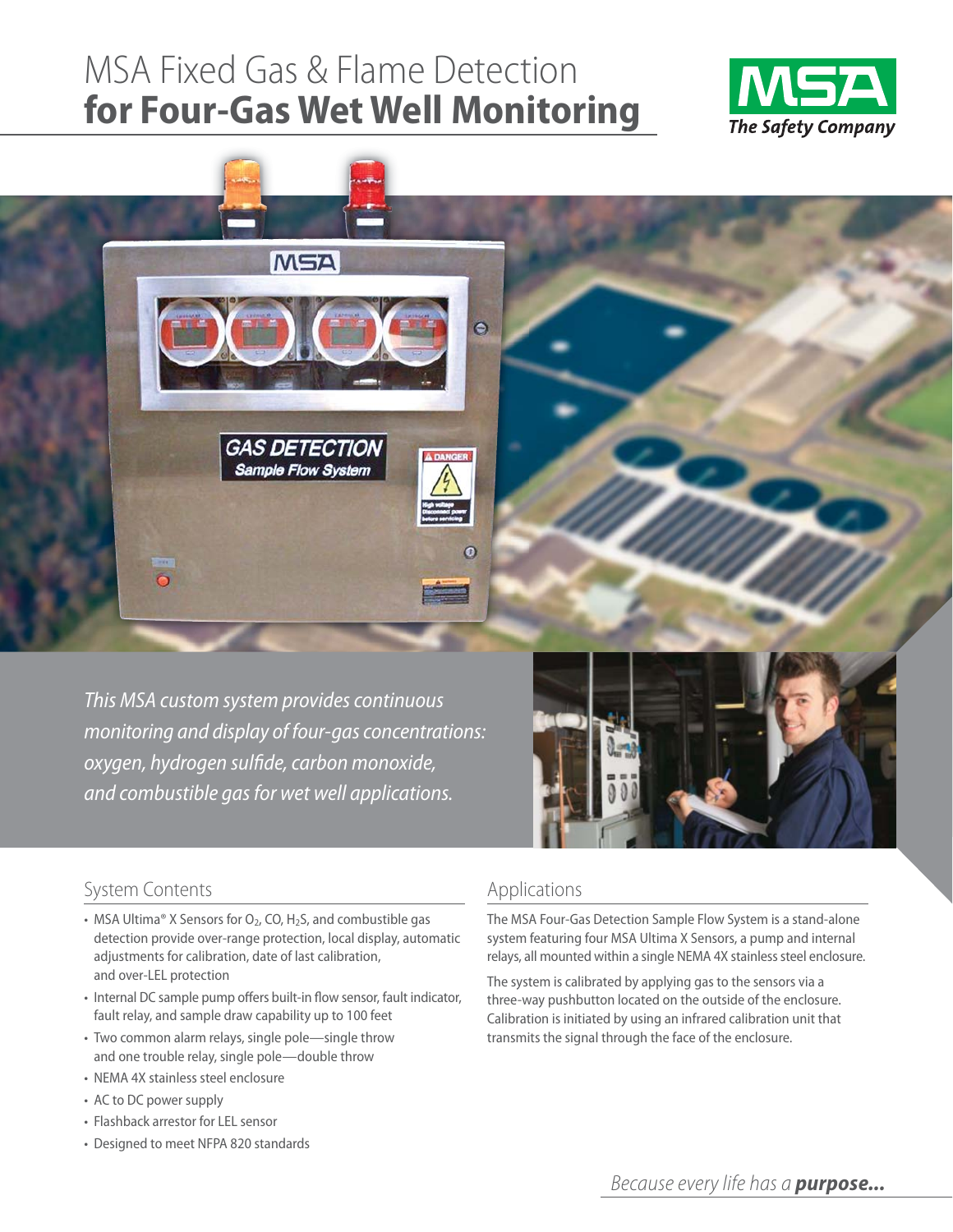# MSA Fixed Gas & Flame Detection **for Four-Gas Wet Well Monitoring**





This MSA custom system provides continuous monitoring and display of four-gas concentrations: oxygen, hydrogen sulfide, carbon monoxide, and combustible gas for wet well applications.



# System Contents

- MSA Ultima® X Sensors for  $O_2$ , CO, H<sub>2</sub>S, and combustible gas detection provide over-range protection, local display, automatic adjustments for calibration, date of last calibration, and over-LEL protection
- Internal DC sample pump offers built-in flow sensor, fault indicator, fault relay, and sample draw capability up to 100 feet
- Two common alarm relays, single pole-single throw and one trouble relay, single pole—double throw
- NEMA 4X stainless steel enclosure
- AC to DC power supply
- Flashback arrestor for LEL sensor
- Designed to meet NFPA 820 standards

# Applications

The MSA Four-Gas Detection Sample Flow System is a stand-alone system featuring four MSA Ultima X Sensors, a pump and internal relays, all mounted within a single NEMA 4X stainless steel enclosure.

The system is calibrated by applying gas to the sensors via a three-way pushbutton located on the outside of the enclosure. Calibration is initiated by using an infrared calibration unit that transmits the signal through the face of the enclosure.